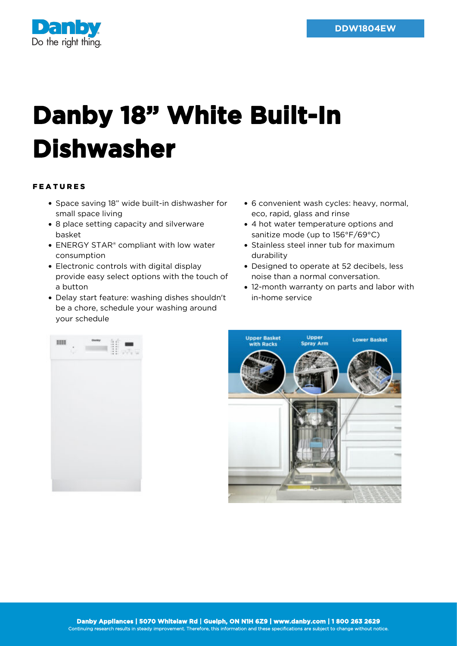

## **Danby 18" White Built-In Dishwasher**

## FEATURES

- Space saving 18" wide built-in dishwasher for small space living
- 8 place setting capacity and silverware basket
- ENERGY STAR<sup>®</sup> compliant with low water consumption
- Electronic controls with digital display provide easy select options with the touch of a button
- Delay start feature: washing dishes shouldn't be a chore, schedule your washing around your schedule
- 6 convenient wash cycles: heavy, normal, eco, rapid, glass and rinse
- 4 hot water temperature options and sanitize mode (up to 156°F/69°C)
- Stainless steel inner tub for maximum durability
- Designed to operate at 52 decibels, less noise than a normal conversation.
- 12-month warranty on parts and labor with in-home service